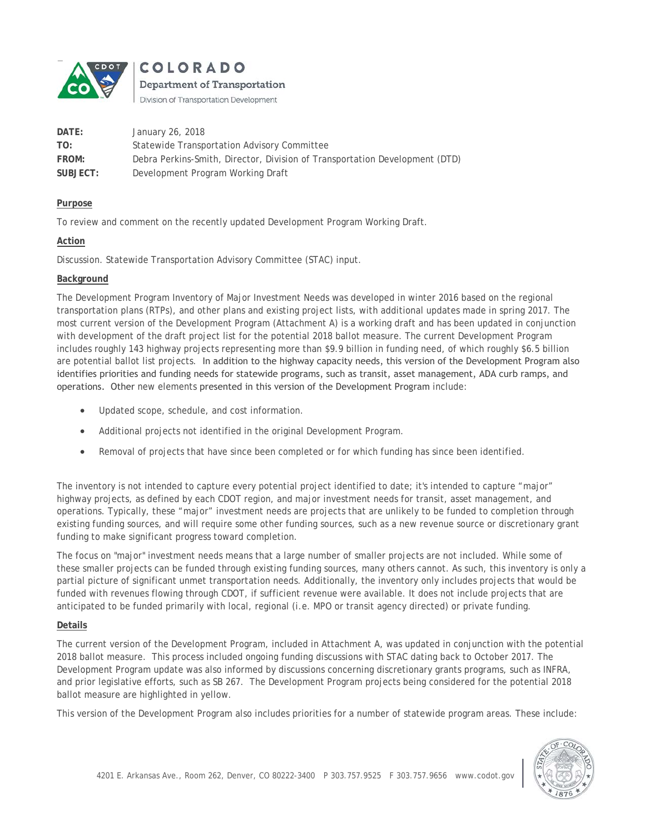

COLORADO Department of Transportation

Division of Transportation Development

| DATE:    | January 26, 2018                                                            |
|----------|-----------------------------------------------------------------------------|
| TO:      | Statewide Transportation Advisory Committee                                 |
| FROM:    | Debra Perkins-Smith, Director, Division of Transportation Development (DTD) |
| SUBJECT: | Development Program Working Draft                                           |

### **Purpose**

To review and comment on the recently updated Development Program Working Draft.

## **Action**

Discussion. Statewide Transportation Advisory Committee (STAC) input.

## **Background**

The Development Program Inventory of Major Investment Needs was developed in winter 2016 based on the regional transportation plans (RTPs), and other plans and existing project lists, with additional updates made in spring 2017. The most current version of the Development Program (Attachment A) is a working draft and has been updated in conjunction with development of the draft project list for the potential 2018 ballot measure. The current Development Program includes roughly 143 highway projects representing more than \$9.9 billion in funding need, of which roughly \$6.5 billion are potential ballot list projects. In addition to the highway capacity needs, this version of the Development Program also identifies priorities and funding needs for statewide programs, such as transit, asset management, ADA curb ramps, and operations. Other new elements presented in this version of the Development Program include:

- Updated scope, schedule, and cost information.
- Additional projects not identified in the original Development Program.
- Removal of projects that have since been completed or for which funding has since been identified.

The inventory is not intended to capture every potential project identified to date; it's intended to capture "major" highway projects, as defined by each CDOT region, and major investment needs for transit, asset management, and operations. Typically, these "major" investment needs are projects that are unlikely to be funded to completion through existing funding sources, and will require some other funding sources, such as a new revenue source or discretionary grant funding to make significant progress toward completion.

The focus on "major" investment needs means that a large number of smaller projects are not included. While some of these smaller projects can be funded through existing funding sources, many others cannot. As such, this inventory is only a partial picture of significant unmet transportation needs. Additionally, the inventory only includes projects that would be funded with revenues flowing through CDOT, if sufficient revenue were available. It does not include projects that are anticipated to be funded primarily with local, regional (i.e. MPO or transit agency directed) or private funding.

# **Details**

The current version of the Development Program, included in Attachment A, was updated in conjunction with the potential 2018 ballot measure. This process included ongoing funding discussions with STAC dating back to October 2017. The Development Program update was also informed by discussions concerning discretionary grants programs, such as INFRA, and prior legislative efforts, such as SB 267. The Development Program projects being considered for the potential 2018 ballot measure are highlighted in yellow.

This version of the Development Program also includes priorities for a number of statewide program areas. These include: